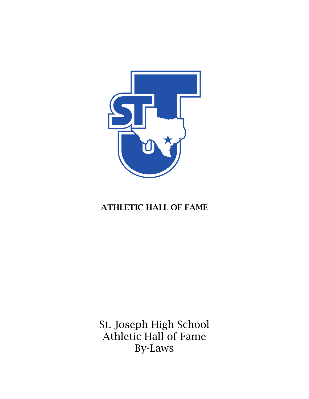

# ATHLETIC HALL OF FAME

St. Joseph High School Athletic Hall of Fame By-Laws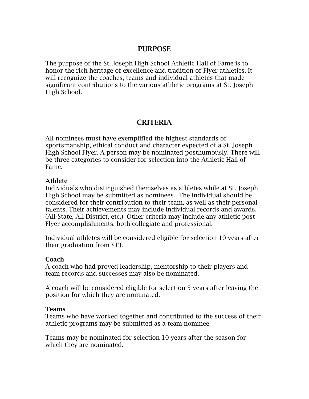## PURPOSE

The purpose of the St. Joseph High School Athletic Hall of Fame is to honor the rich heritage of excellence and tradition of Flyer athletics. It will recognize the coaches, teams and individual athletes that made significant contributions to the various athletic programs at St. Joseph High School.

# CRITERIA

All nominees must have exemplified the highest standards of sportsmanship, ethical conduct and character expected of a St. Joseph High School Flyer. A person may be nominated posthumously. There will be three categories to consider for selection into the Athletic Hall of Fame.

#### Athlete

Individuals who distinguished themselves as athletes while at St. Joseph High School may be submitted as nominees. The individual should be considered for their contribution to their team, as well as their personal talents. Their achievements may include individual records and awards. (All-State, All District, etc.) Other criteria may include any athletic post Flyer accomplishments, both collegiate and professional.

Individual athletes will be considered eligible for selection 10 years after their graduation from STJ.

#### Coach

A coach who had proved leadership, mentorship to their players and team records and successes may also be nominated.

A coach will be considered eligible for selection 5 years after leaving the position for which they are nominated.

#### Teams

Teams who have worked together and contributed to the success of their athletic programs may be submitted as a team nominee.

Teams may be nominated for selection 10 years after the season for which they are nominated.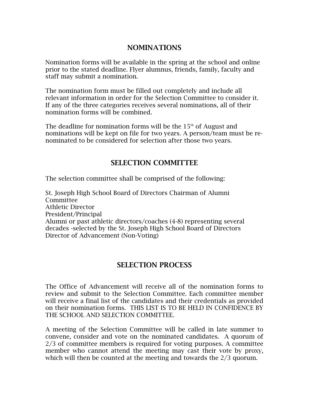# NOMINATIONS

Nomination forms will be available in the spring at the school and online prior to the stated deadline. Flyer alumnus, friends, family, faculty and staff may submit a nomination.

The nomination form must be filled out completely and include all relevant information in order for the Selection Committee to consider it. If any of the three categories receives several nominations, all of their nomination forms will be combined.

The deadline for nomination forms will be the  $15<sup>th</sup>$  of August and nominations will be kept on file for two years. A person/team must be renominated to be considered for selection after those two years.

# SELECTION COMMITTEE

The selection committee shall be comprised of the following:

St. Joseph High School Board of Directors Chairman of Alumni Committee Athletic Director President/Principal Alumni or past athletic directors/coaches (4-8) representing several decades -selected by the St. Joseph High School Board of Directors Director of Advancement (Non-Voting)

## SELECTION PROCESS

The Office of Advancement will receive all of the nomination forms to review and submit to the Selection Committee. Each committee member will receive a final list of the candidates and their credentials as provided on their nomination forms. THIS LIST IS TO BE HELD IN CONFIDENCE BY THE SCHOOL AND SELECTION COMMITTEE.

A meeting of the Selection Committee will be called in late summer to convene, consider and vote on the nominated candidates. A quorum of 2/3 of committee members is required for voting purposes. A committee member who cannot attend the meeting may cast their vote by proxy, which will then be counted at the meeting and towards the 2/3 quorum.